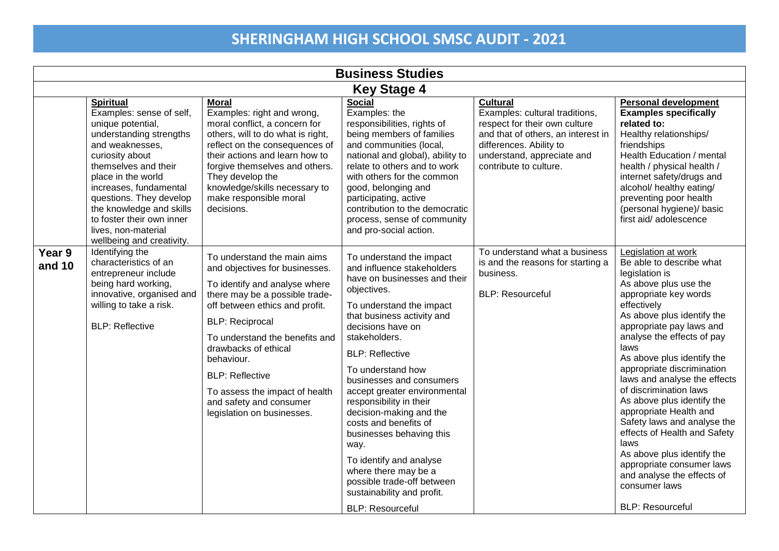| <b>Business Studies</b> |                                                                                                                                                                                                                                                                                                                                                    |                                                                                                                                                                                                                                                                                                                                                                                           |                                                                                                                                                                                                                                                                                                                                                                                                                                                                                                                                                                               |                                                                                                                                                                                                             |                                                                                                                                                                                                                                                                                                                                                                                                                                                                                                                                                                                                                              |
|-------------------------|----------------------------------------------------------------------------------------------------------------------------------------------------------------------------------------------------------------------------------------------------------------------------------------------------------------------------------------------------|-------------------------------------------------------------------------------------------------------------------------------------------------------------------------------------------------------------------------------------------------------------------------------------------------------------------------------------------------------------------------------------------|-------------------------------------------------------------------------------------------------------------------------------------------------------------------------------------------------------------------------------------------------------------------------------------------------------------------------------------------------------------------------------------------------------------------------------------------------------------------------------------------------------------------------------------------------------------------------------|-------------------------------------------------------------------------------------------------------------------------------------------------------------------------------------------------------------|------------------------------------------------------------------------------------------------------------------------------------------------------------------------------------------------------------------------------------------------------------------------------------------------------------------------------------------------------------------------------------------------------------------------------------------------------------------------------------------------------------------------------------------------------------------------------------------------------------------------------|
| <b>Key Stage 4</b>      |                                                                                                                                                                                                                                                                                                                                                    |                                                                                                                                                                                                                                                                                                                                                                                           |                                                                                                                                                                                                                                                                                                                                                                                                                                                                                                                                                                               |                                                                                                                                                                                                             |                                                                                                                                                                                                                                                                                                                                                                                                                                                                                                                                                                                                                              |
|                         | <b>Spiritual</b><br>Examples: sense of self,<br>unique potential,<br>understanding strengths<br>and weaknesses,<br>curiosity about<br>themselves and their<br>place in the world<br>increases, fundamental<br>questions. They develop<br>the knowledge and skills<br>to foster their own inner<br>lives, non-material<br>wellbeing and creativity. | <b>Moral</b><br>Examples: right and wrong,<br>moral conflict, a concern for<br>others, will to do what is right,<br>reflect on the consequences of<br>their actions and learn how to<br>forgive themselves and others.<br>They develop the<br>knowledge/skills necessary to<br>make responsible moral<br>decisions.                                                                       | <b>Social</b><br>Examples: the<br>responsibilities, rights of<br>being members of families<br>and communities (local,<br>national and global), ability to<br>relate to others and to work<br>with others for the common<br>good, belonging and<br>participating, active<br>contribution to the democratic<br>process, sense of community<br>and pro-social action.                                                                                                                                                                                                            | <b>Cultural</b><br>Examples: cultural traditions,<br>respect for their own culture<br>and that of others, an interest in<br>differences. Ability to<br>understand, appreciate and<br>contribute to culture. | <b>Personal development</b><br><b>Examples specifically</b><br>related to:<br>Healthy relationships/<br>friendships<br>Health Education / mental<br>health / physical health /<br>internet safety/drugs and<br>alcohol/ healthy eating/<br>preventing poor health<br>(personal hygiene)/ basic<br>first aid/ adolescence                                                                                                                                                                                                                                                                                                     |
| Year 9<br>and 10        | Identifying the<br>characteristics of an<br>entrepreneur include<br>being hard working,<br>innovative, organised and<br>willing to take a risk.<br><b>BLP: Reflective</b>                                                                                                                                                                          | To understand the main aims<br>and objectives for businesses.<br>To identify and analyse where<br>there may be a possible trade-<br>off between ethics and profit.<br><b>BLP:</b> Reciprocal<br>To understand the benefits and<br>drawbacks of ethical<br>behaviour.<br><b>BLP: Reflective</b><br>To assess the impact of health<br>and safety and consumer<br>legislation on businesses. | To understand the impact<br>and influence stakeholders<br>have on businesses and their<br>objectives.<br>To understand the impact<br>that business activity and<br>decisions have on<br>stakeholders.<br><b>BLP: Reflective</b><br>To understand how<br>businesses and consumers<br>accept greater environmental<br>responsibility in their<br>decision-making and the<br>costs and benefits of<br>businesses behaving this<br>way.<br>To identify and analyse<br>where there may be a<br>possible trade-off between<br>sustainability and profit.<br><b>BLP: Resourceful</b> | To understand what a business<br>is and the reasons for starting a<br>business.<br><b>BLP: Resourceful</b>                                                                                                  | Legislation at work<br>Be able to describe what<br>legislation is<br>As above plus use the<br>appropriate key words<br>effectively<br>As above plus identify the<br>appropriate pay laws and<br>analyse the effects of pay<br>laws<br>As above plus identify the<br>appropriate discrimination<br>laws and analyse the effects<br>of discrimination laws<br>As above plus identify the<br>appropriate Health and<br>Safety laws and analyse the<br>effects of Health and Safety<br>laws<br>As above plus identify the<br>appropriate consumer laws<br>and analyse the effects of<br>consumer laws<br><b>BLP: Resourceful</b> |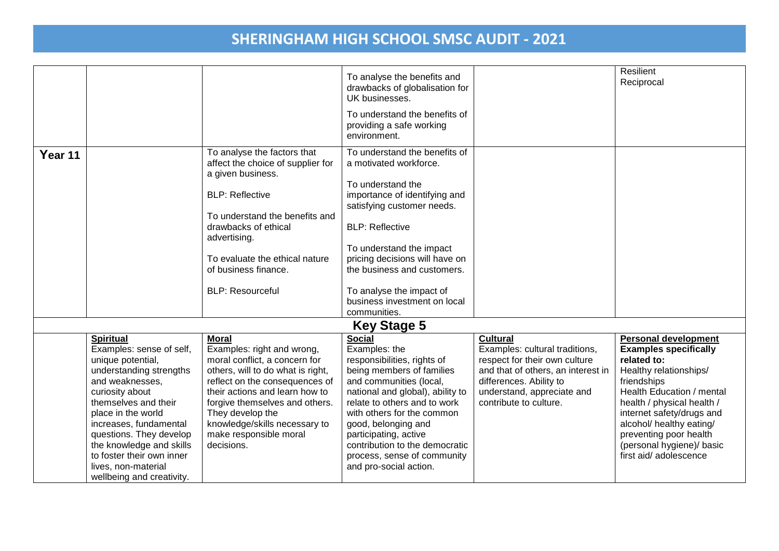|                    |                                                       |                                   |                                                            |                                    | Resilient                                           |  |  |
|--------------------|-------------------------------------------------------|-----------------------------------|------------------------------------------------------------|------------------------------------|-----------------------------------------------------|--|--|
|                    |                                                       |                                   | To analyse the benefits and                                |                                    | Reciprocal                                          |  |  |
|                    |                                                       |                                   | drawbacks of globalisation for<br>UK businesses.           |                                    |                                                     |  |  |
|                    |                                                       |                                   |                                                            |                                    |                                                     |  |  |
|                    |                                                       |                                   | To understand the benefits of                              |                                    |                                                     |  |  |
|                    |                                                       |                                   | providing a safe working                                   |                                    |                                                     |  |  |
|                    |                                                       |                                   | environment.                                               |                                    |                                                     |  |  |
| Year 11            |                                                       | To analyse the factors that       | To understand the benefits of                              |                                    |                                                     |  |  |
|                    |                                                       | affect the choice of supplier for | a motivated workforce.                                     |                                    |                                                     |  |  |
|                    |                                                       | a given business.                 |                                                            |                                    |                                                     |  |  |
|                    |                                                       |                                   | To understand the                                          |                                    |                                                     |  |  |
|                    |                                                       | <b>BLP: Reflective</b>            | importance of identifying and                              |                                    |                                                     |  |  |
|                    |                                                       |                                   | satisfying customer needs.                                 |                                    |                                                     |  |  |
|                    |                                                       | To understand the benefits and    |                                                            |                                    |                                                     |  |  |
|                    |                                                       | drawbacks of ethical              | <b>BLP: Reflective</b>                                     |                                    |                                                     |  |  |
|                    |                                                       | advertising.                      |                                                            |                                    |                                                     |  |  |
|                    |                                                       | To evaluate the ethical nature    | To understand the impact<br>pricing decisions will have on |                                    |                                                     |  |  |
|                    |                                                       | of business finance.              | the business and customers.                                |                                    |                                                     |  |  |
|                    |                                                       |                                   |                                                            |                                    |                                                     |  |  |
|                    |                                                       | <b>BLP: Resourceful</b>           | To analyse the impact of                                   |                                    |                                                     |  |  |
|                    |                                                       |                                   | business investment on local                               |                                    |                                                     |  |  |
|                    |                                                       |                                   | communities.                                               |                                    |                                                     |  |  |
| <b>Key Stage 5</b> |                                                       |                                   |                                                            |                                    |                                                     |  |  |
|                    | <b>Spiritual</b>                                      | <b>Moral</b>                      | <b>Social</b>                                              | <b>Cultural</b>                    | <b>Personal development</b>                         |  |  |
|                    | Examples: sense of self,                              | Examples: right and wrong,        | Examples: the                                              | Examples: cultural traditions,     | <b>Examples specifically</b>                        |  |  |
|                    | unique potential,                                     | moral conflict, a concern for     | responsibilities, rights of                                | respect for their own culture      | related to:                                         |  |  |
|                    | understanding strengths                               | others, will to do what is right, | being members of families                                  | and that of others, an interest in | Healthy relationships/                              |  |  |
|                    | and weaknesses,                                       | reflect on the consequences of    | and communities (local,                                    | differences. Ability to            | friendships                                         |  |  |
|                    | curiosity about                                       | their actions and learn how to    | national and global), ability to                           | understand, appreciate and         | Health Education / mental                           |  |  |
|                    | themselves and their                                  | forgive themselves and others.    | relate to others and to work                               | contribute to culture.             | health / physical health /                          |  |  |
|                    | place in the world                                    | They develop the                  | with others for the common                                 |                                    | internet safety/drugs and                           |  |  |
|                    | increases, fundamental                                | knowledge/skills necessary to     | good, belonging and                                        |                                    | alcohol/ healthy eating/                            |  |  |
|                    | questions. They develop                               | make responsible moral            | participating, active                                      |                                    | preventing poor health                              |  |  |
|                    | the knowledge and skills<br>to foster their own inner | decisions.                        | contribution to the democratic                             |                                    | (personal hygiene)/ basic<br>first aid/ adolescence |  |  |
|                    |                                                       |                                   | process, sense of community                                |                                    |                                                     |  |  |
|                    | lives, non-material                                   |                                   | and pro-social action.                                     |                                    |                                                     |  |  |
|                    | wellbeing and creativity.                             |                                   |                                                            |                                    |                                                     |  |  |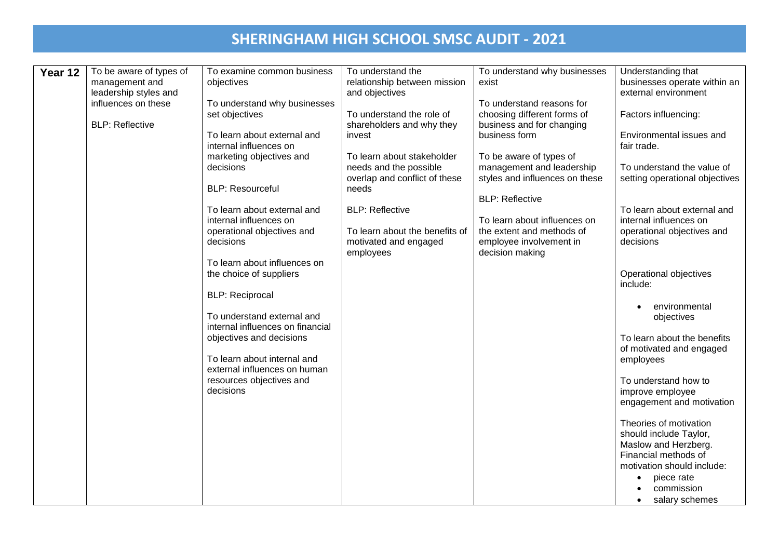| Year 12 | To be aware of types of<br>management and<br>leadership styles and<br>influences on these | To examine common business<br>objectives<br>To understand why businesses                         | To understand the<br>relationship between mission<br>and objectives                            | To understand why businesses<br>exist<br>To understand reasons for                                      | Understanding that<br>businesses operate within an<br>external environment                                                                                |
|---------|-------------------------------------------------------------------------------------------|--------------------------------------------------------------------------------------------------|------------------------------------------------------------------------------------------------|---------------------------------------------------------------------------------------------------------|-----------------------------------------------------------------------------------------------------------------------------------------------------------|
|         | <b>BLP: Reflective</b>                                                                    | set objectives<br>To learn about external and                                                    | To understand the role of<br>shareholders and why they<br>invest                               | choosing different forms of<br>business and for changing<br>business form                               | Factors influencing:<br>Environmental issues and                                                                                                          |
|         |                                                                                           | internal influences on<br>marketing objectives and<br>decisions                                  | To learn about stakeholder<br>needs and the possible                                           | To be aware of types of<br>management and leadership                                                    | fair trade.<br>To understand the value of                                                                                                                 |
|         |                                                                                           | <b>BLP: Resourceful</b>                                                                          | overlap and conflict of these<br>needs                                                         | styles and influences on these<br><b>BLP: Reflective</b>                                                | setting operational objectives                                                                                                                            |
|         |                                                                                           | To learn about external and<br>internal influences on<br>operational objectives and<br>decisions | <b>BLP: Reflective</b><br>To learn about the benefits of<br>motivated and engaged<br>employees | To learn about influences on<br>the extent and methods of<br>employee involvement in<br>decision making | To learn about external and<br>internal influences on<br>operational objectives and<br>decisions                                                          |
|         |                                                                                           | To learn about influences on<br>the choice of suppliers<br><b>BLP:</b> Reciprocal                |                                                                                                |                                                                                                         | Operational objectives<br>include:                                                                                                                        |
|         |                                                                                           | To understand external and<br>internal influences on financial                                   |                                                                                                |                                                                                                         | environmental<br>objectives                                                                                                                               |
|         |                                                                                           | objectives and decisions<br>To learn about internal and<br>external influences on human          |                                                                                                |                                                                                                         | To learn about the benefits<br>of motivated and engaged<br>employees                                                                                      |
|         |                                                                                           | resources objectives and<br>decisions                                                            |                                                                                                |                                                                                                         | To understand how to<br>improve employee<br>engagement and motivation                                                                                     |
|         |                                                                                           |                                                                                                  |                                                                                                |                                                                                                         | Theories of motivation<br>should include Taylor,<br>Maslow and Herzberg.<br>Financial methods of<br>motivation should include:<br>piece rate<br>$\bullet$ |
|         |                                                                                           |                                                                                                  |                                                                                                |                                                                                                         | commission<br>salary schemes                                                                                                                              |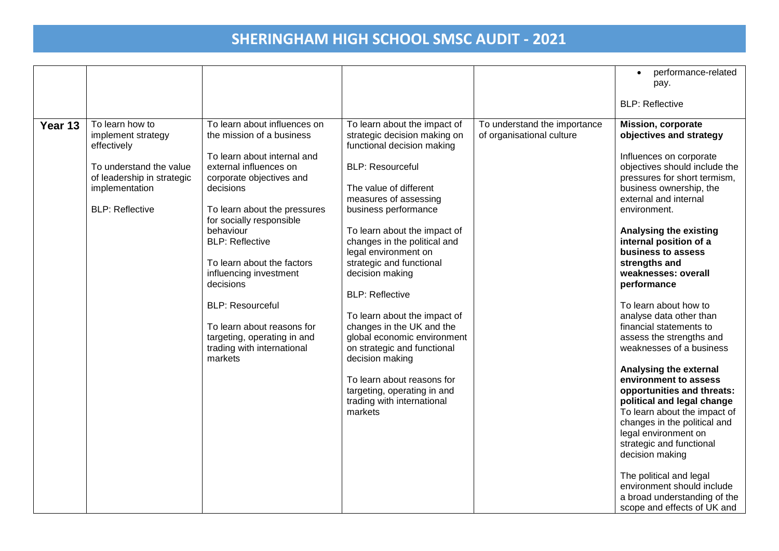|         |                                                                                                                                                           |                                                                                                                                                                                                                                                                                                                                                                                                                                                                      |                                                                                                                                                                                                                                                                                                                                                                                                                                                                                                                                                                                                                       |                                                           | performance-related<br>$\bullet$<br>pay.<br><b>BLP: Reflective</b>                                                                                                                                                                                                                                                                                                                                                                                                                                                                                                                                                                                                                                                                                                                                                                                                         |
|---------|-----------------------------------------------------------------------------------------------------------------------------------------------------------|----------------------------------------------------------------------------------------------------------------------------------------------------------------------------------------------------------------------------------------------------------------------------------------------------------------------------------------------------------------------------------------------------------------------------------------------------------------------|-----------------------------------------------------------------------------------------------------------------------------------------------------------------------------------------------------------------------------------------------------------------------------------------------------------------------------------------------------------------------------------------------------------------------------------------------------------------------------------------------------------------------------------------------------------------------------------------------------------------------|-----------------------------------------------------------|----------------------------------------------------------------------------------------------------------------------------------------------------------------------------------------------------------------------------------------------------------------------------------------------------------------------------------------------------------------------------------------------------------------------------------------------------------------------------------------------------------------------------------------------------------------------------------------------------------------------------------------------------------------------------------------------------------------------------------------------------------------------------------------------------------------------------------------------------------------------------|
| Year 13 | To learn how to<br>implement strategy<br>effectively<br>To understand the value<br>of leadership in strategic<br>implementation<br><b>BLP: Reflective</b> | To learn about influences on<br>the mission of a business<br>To learn about internal and<br>external influences on<br>corporate objectives and<br>decisions<br>To learn about the pressures<br>for socially responsible<br>behaviour<br><b>BLP: Reflective</b><br>To learn about the factors<br>influencing investment<br>decisions<br><b>BLP: Resourceful</b><br>To learn about reasons for<br>targeting, operating in and<br>trading with international<br>markets | To learn about the impact of<br>strategic decision making on<br>functional decision making<br><b>BLP: Resourceful</b><br>The value of different<br>measures of assessing<br>business performance<br>To learn about the impact of<br>changes in the political and<br>legal environment on<br>strategic and functional<br>decision making<br><b>BLP: Reflective</b><br>To learn about the impact of<br>changes in the UK and the<br>global economic environment<br>on strategic and functional<br>decision making<br>To learn about reasons for<br>targeting, operating in and<br>trading with international<br>markets | To understand the importance<br>of organisational culture | <b>Mission, corporate</b><br>objectives and strategy<br>Influences on corporate<br>objectives should include the<br>pressures for short termism,<br>business ownership, the<br>external and internal<br>environment.<br>Analysing the existing<br>internal position of a<br>business to assess<br>strengths and<br>weaknesses: overall<br>performance<br>To learn about how to<br>analyse data other than<br>financial statements to<br>assess the strengths and<br>weaknesses of a business<br>Analysing the external<br>environment to assess<br>opportunities and threats:<br>political and legal change<br>To learn about the impact of<br>changes in the political and<br>legal environment on<br>strategic and functional<br>decision making<br>The political and legal<br>environment should include<br>a broad understanding of the<br>scope and effects of UK and |